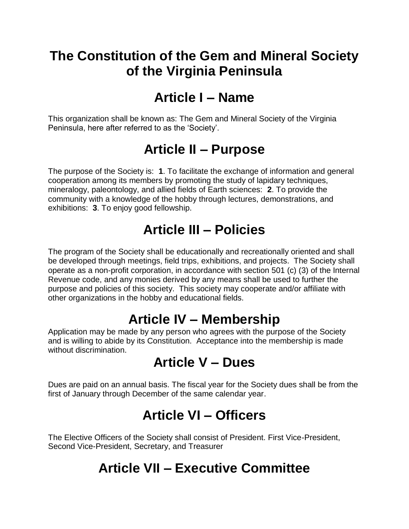### **The Constitution of the Gem and Mineral Society of the Virginia Peninsula**

## **Article I – Name**

This organization shall be known as: The Gem and Mineral Society of the Virginia Peninsula, here after referred to as the 'Society'.

## **Article II – Purpose**

The purpose of the Society is: **1**. To facilitate the exchange of information and general cooperation among its members by promoting the study of lapidary techniques, mineralogy, paleontology, and allied fields of Earth sciences: **2**. To provide the community with a knowledge of the hobby through lectures, demonstrations, and exhibitions: **3**. To enjoy good fellowship.

# **Article III – Policies**

The program of the Society shall be educationally and recreationally oriented and shall be developed through meetings, field trips, exhibitions, and projects. The Society shall operate as a non-profit corporation, in accordance with section 501 (c) (3) of the Internal Revenue code, and any monies derived by any means shall be used to further the purpose and policies of this society. This society may cooperate and/or affiliate with other organizations in the hobby and educational fields.

### **Article IV – Membership**

Application may be made by any person who agrees with the purpose of the Society and is willing to abide by its Constitution. Acceptance into the membership is made without discrimination.

#### **Article V – Dues**

Dues are paid on an annual basis. The fiscal year for the Society dues shall be from the first of January through December of the same calendar year.

# **Article VI – Officers**

The Elective Officers of the Society shall consist of President. First Vice-President, Second Vice-President, Secretary, and Treasurer

# **Article VII – Executive Committee**